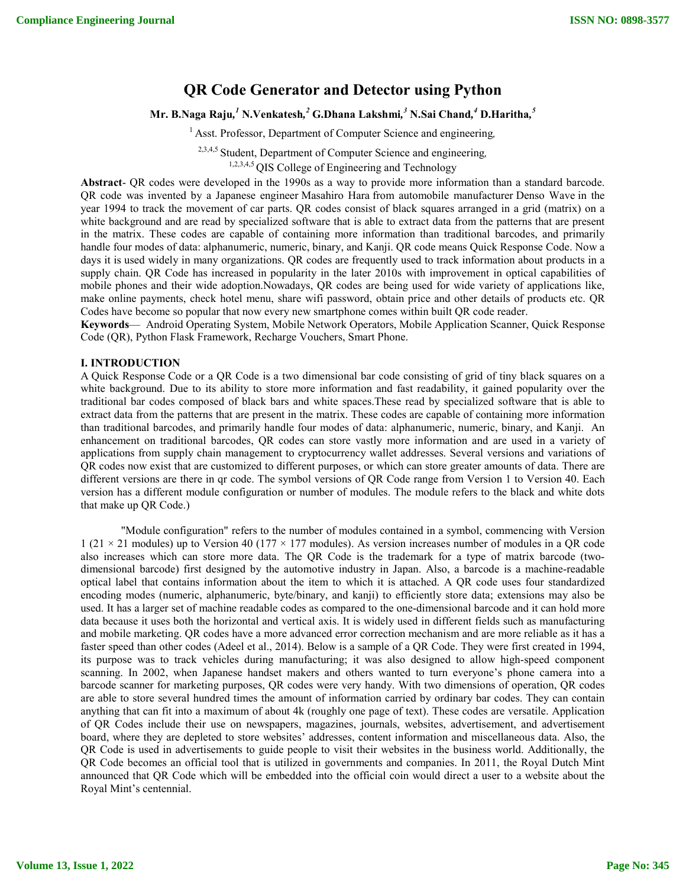# **QR Code Generator and Detector using Python**

# **Mr. B.Naga Raju***, <sup>1</sup>* **N.Venkatesh***, <sup>2</sup>* **G.Dhana Lakshmi***, <sup>3</sup>* **N.Sai Chand***, <sup>4</sup>* **D.Haritha***, 5*

<sup>1</sup> Asst. Professor, Department of Computer Science and engineering,

2,3,4,5 Student, Department of Computer Science and engineering*,* 

1,2,3,4,5 QIS College of Engineering and Technology

**Abstract**- QR codes were developed in the 1990s as a way to provide more information than a standard barcode. QR code was invented by a Japanese engineer Masahiro Hara from automobile manufacturer Denso Wave in the year 1994 to track the movement of car parts. QR codes consist of black squares arranged in a grid (matrix) on a white background and are read by specialized software that is able to extract data from the patterns that are present in the matrix. These codes are capable of containing more information than traditional barcodes, and primarily handle four modes of data: alphanumeric, numeric, binary, and Kanji. QR code means Quick Response Code. Now a days it is used widely in many organizations. QR codes are frequently used to track information about products in a supply chain. QR Code has increased in popularity in the later 2010s with improvement in optical capabilities of mobile phones and their wide adoption.Nowadays, QR codes are being used for wide variety of applications like, make online payments, check hotel menu, share wifi password, obtain price and other details of products etc. QR Codes have become so popular that now every new smartphone comes within built QR code reader.

**Keywords**— Android Operating System, Mobile Network Operators, Mobile Application Scanner, Quick Response Code (QR), Python Flask Framework, Recharge Vouchers, Smart Phone.

#### **I. INTRODUCTION**

A Quick Response Code or a QR Code is a two dimensional bar code consisting of grid of tiny black squares on a white background. Due to its ability to store more information and fast readability, it gained popularity over the traditional bar codes composed of black bars and white spaces.These read by specialized software that is able to extract data from the patterns that are present in the matrix. These codes are capable of containing more information than traditional barcodes, and primarily handle four modes of data: alphanumeric, numeric, binary, and Kanji. An enhancement on traditional barcodes, QR codes can store vastly more information and are used in a variety of applications from supply chain management to cryptocurrency wallet addresses. Several versions and variations of QR codes now exist that are customized to different purposes, or which can store greater amounts of data. There are different versions are there in qr code. The symbol versions of QR Code range from Version 1 to Version 40. Each version has a different module configuration or number of modules. The module refers to the black and white dots that make up QR Code.)

"Module configuration" refers to the number of modules contained in a symbol, commencing with Version 1 (21 × 21 modules) up to Version 40 (177 × 177 modules). As version increases number of modules in a QR code also increases which can store more data. The QR Code is the trademark for a type of matrix barcode (twodimensional barcode) first designed by the automotive industry in Japan. Also, a barcode is a machine-readable optical label that contains information about the item to which it is attached. A QR code uses four standardized encoding modes (numeric, alphanumeric, byte/binary, and kanji) to efficiently store data; extensions may also be used. It has a larger set of machine readable codes as compared to the one-dimensional barcode and it can hold more data because it uses both the horizontal and vertical axis. It is widely used in different fields such as manufacturing and mobile marketing. QR codes have a more advanced error correction mechanism and are more reliable as it has a faster speed than other codes (Adeel et al., 2014). Below is a sample of a QR Code. They were first created in 1994, its purpose was to track vehicles during manufacturing; it was also designed to allow high-speed component scanning. In 2002, when Japanese handset makers and others wanted to turn everyone's phone camera into a barcode scanner for marketing purposes, QR codes were very handy. With two dimensions of operation, QR codes are able to store several hundred times the amount of information carried by ordinary bar codes. They can contain anything that can fit into a maximum of about 4k (roughly one page of text). These codes are versatile. Application of QR Codes include their use on newspapers, magazines, journals, websites, advertisement, and advertisement board, where they are depleted to store websites' addresses, content information and miscellaneous data. Also, the QR Code is used in advertisements to guide people to visit their websites in the business world. Additionally, the QR Code becomes an official tool that is utilized in governments and companies. In 2011, the Royal Dutch Mint announced that QR Code which will be embedded into the official coin would direct a user to a website about the Royal Mint's centennial.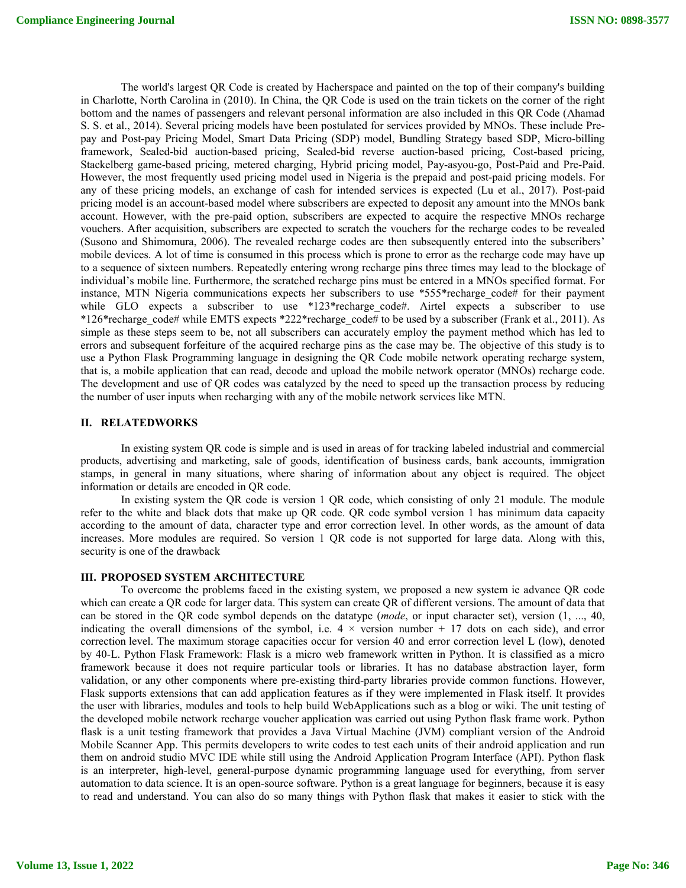The world's largest QR Code is created by Hacherspace and painted on the top of their company's building in Charlotte, North Carolina in (2010). In China, the QR Code is used on the train tickets on the corner of the right bottom and the names of passengers and relevant personal information are also included in this QR Code (Ahamad S. S. et al., 2014). Several pricing models have been postulated for services provided by MNOs. These include Prepay and Post-pay Pricing Model, Smart Data Pricing (SDP) model, Bundling Strategy based SDP, Micro-billing framework, Sealed-bid auction-based pricing, Sealed-bid reverse auction-based pricing, Cost-based pricing, Stackelberg game-based pricing, metered charging, Hybrid pricing model, Pay-asyou-go, Post-Paid and Pre-Paid. However, the most frequently used pricing model used in Nigeria is the prepaid and post-paid pricing models. For any of these pricing models, an exchange of cash for intended services is expected (Lu et al., 2017). Post-paid pricing model is an account-based model where subscribers are expected to deposit any amount into the MNOs bank account. However, with the pre-paid option, subscribers are expected to acquire the respective MNOs recharge vouchers. After acquisition, subscribers are expected to scratch the vouchers for the recharge codes to be revealed (Susono and Shimomura, 2006). The revealed recharge codes are then subsequently entered into the subscribers' mobile devices. A lot of time is consumed in this process which is prone to error as the recharge code may have up to a sequence of sixteen numbers. Repeatedly entering wrong recharge pins three times may lead to the blockage of individual's mobile line. Furthermore, the scratched recharge pins must be entered in a MNOs specified format. For instance, MTN Nigeria communications expects her subscribers to use \*555\*recharge code# for their payment while GLO expects a subscriber to use \*123\*recharge\_code#. Airtel expects a subscriber to use \*126\*recharge\_code# while EMTS expects \*222\*recharge\_code# to be used by a subscriber (Frank et al., 2011). As simple as these steps seem to be, not all subscribers can accurately employ the payment method which has led to errors and subsequent forfeiture of the acquired recharge pins as the case may be. The objective of this study is to use a Python Flask Programming language in designing the QR Code mobile network operating recharge system, that is, a mobile application that can read, decode and upload the mobile network operator (MNOs) recharge code. The development and use of QR codes was catalyzed by the need to speed up the transaction process by reducing the number of user inputs when recharging with any of the mobile network services like MTN.

#### **II. RELATEDWORKS**

In existing system QR code is simple and is used in areas of for tracking labeled industrial and commercial products, advertising and marketing, sale of goods, identification of business cards, bank accounts, immigration stamps, in general in many situations, where sharing of information about any object is required. The object information or details are encoded in QR code.

In existing system the QR code is version 1 QR code, which consisting of only 21 module. The module refer to the white and black dots that make up QR code. QR code symbol version 1 has minimum data capacity according to the amount of data, character type and error correction level. In other words, as the amount of data increases. More modules are required. So version 1 QR code is not supported for large data. Along with this, security is one of the drawback

#### **III. PROPOSED SYSTEM ARCHITECTURE**

To overcome the problems faced in the existing system, we proposed a new system ie advance QR code which can create a QR code for larger data. This system can create QR of different versions. The amount of data that can be stored in the QR code symbol depends on the datatype (*mode*, or input character set), version (1, ..., 40, indicating the overall dimensions of the symbol, i.e.  $4 \times$  version number + 17 dots on each side), and error correction level. The maximum storage capacities occur for version 40 and error correction level L (low), denoted by 40-L. Python Flask Framework: Flask is a micro web framework written in Python. It is classified as a micro framework because it does not require particular tools or libraries. It has no database abstraction layer, form validation, or any other components where pre-existing third-party libraries provide common functions. However, Flask supports extensions that can add application features as if they were implemented in Flask itself. It provides the user with libraries, modules and tools to help build WebApplications such as a blog or wiki. The unit testing of the developed mobile network recharge voucher application was carried out using Python flask frame work. Python flask is a unit testing framework that provides a Java Virtual Machine (JVM) compliant version of the Android Mobile Scanner App. This permits developers to write codes to test each units of their android application and run them on android studio MVC IDE while still using the Android Application Program Interface (API). Python flask is an interpreter, high-level, general-purpose dynamic programming language used for everything, from server automation to data science. It is an open-source software. Python is a great language for beginners, because it is easy to read and understand. You can also do so many things with Python flask that makes it easier to stick with the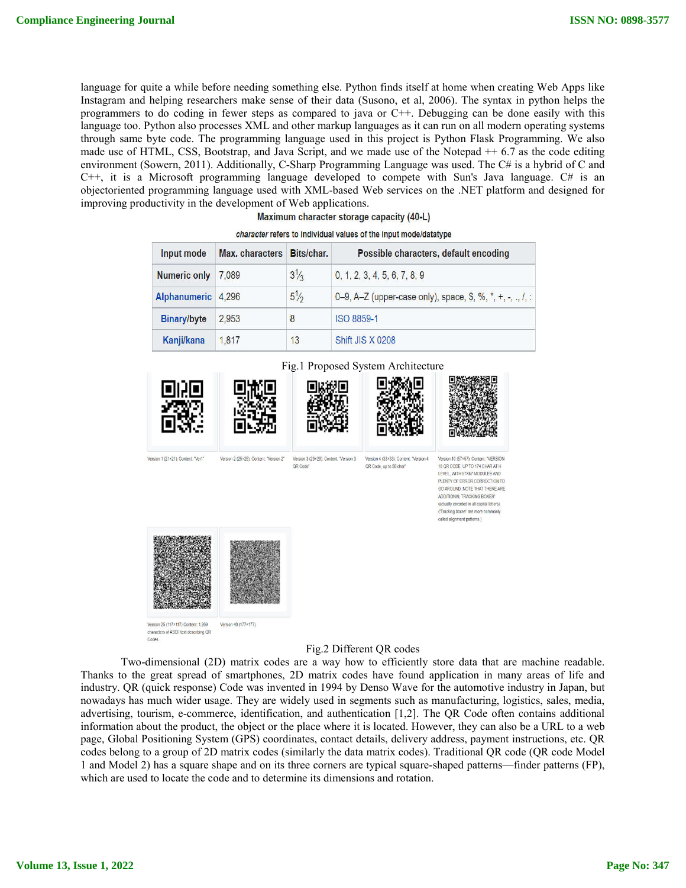language for quite a while before needing something else. Python finds itself at home when creating Web Apps like Instagram and helping researchers make sense of their data (Susono, et al, 2006). The syntax in python helps the programmers to do coding in fewer steps as compared to java or C++. Debugging can be done easily with this language too. Python also processes XML and other markup languages as it can run on all modern operating systems through same byte code. The programming language used in this project is Python Flask Programming. We also made use of HTML, CSS, Bootstrap, and Java Script, and we made use of the Notepad ++ 6.7 as the code editing environment (Sowern, 2011). Additionally, C-Sharp Programming Language was used. The C# is a hybrid of C and  $C++$ , it is a Microsoft programming language developed to compete with Sun's Java language.  $C\#$  is an objectoriented programming language used with XML-based Web services on the .NET platform and designed for improving productivity in the development of Web applications.

Maximum character storage capacity (40-L)

| Input mode          | Max. characters | Bits/char.     | Possible characters, default encoding                      |
|---------------------|-----------------|----------------|------------------------------------------------------------|
| <b>Numeric only</b> | 7,089           | $3\frac{1}{3}$ | 0, 1, 2, 3, 4, 5, 6, 7, 8, 9                               |
| Alphanumeric        | 4.296           | $5\frac{1}{2}$ | 0-9, A-Z (upper-case only), space, \$, %, *, +, -, ., /, : |
| <b>Binary/byte</b>  | 2.953           | 8              | ISO 8859-1                                                 |
| Kanji/kana          | 1.817           | 13             | <b>Shift JIS X 0208</b>                                    |

character refers to individual values of the input mode/datatype



### Fig.2 Different QR codes

Two-dimensional (2D) matrix codes are a way how to efficiently store data that are machine readable. Thanks to the great spread of smartphones, 2D matrix codes have found application in many areas of life and industry. QR (quick response) Code was invented in 1994 by Denso Wave for the automotive industry in Japan, but nowadays has much wider usage. They are widely used in segments such as manufacturing, logistics, sales, media, advertising, tourism, e-commerce, identification, and authentication [1,2]. The QR Code often contains additional information about the product, the object or the place where it is located. However, they can also be a URL to a web page, Global Positioning System (GPS) coordinates, contact details, delivery address, payment instructions, etc. QR codes belong to a group of 2D matrix codes (similarly the data matrix codes). Traditional QR code (QR code Model 1 and Model 2) has a square shape and on its three corners are typical square-shaped patterns—finder patterns (FP), which are used to locate the code and to determine its dimensions and rotation.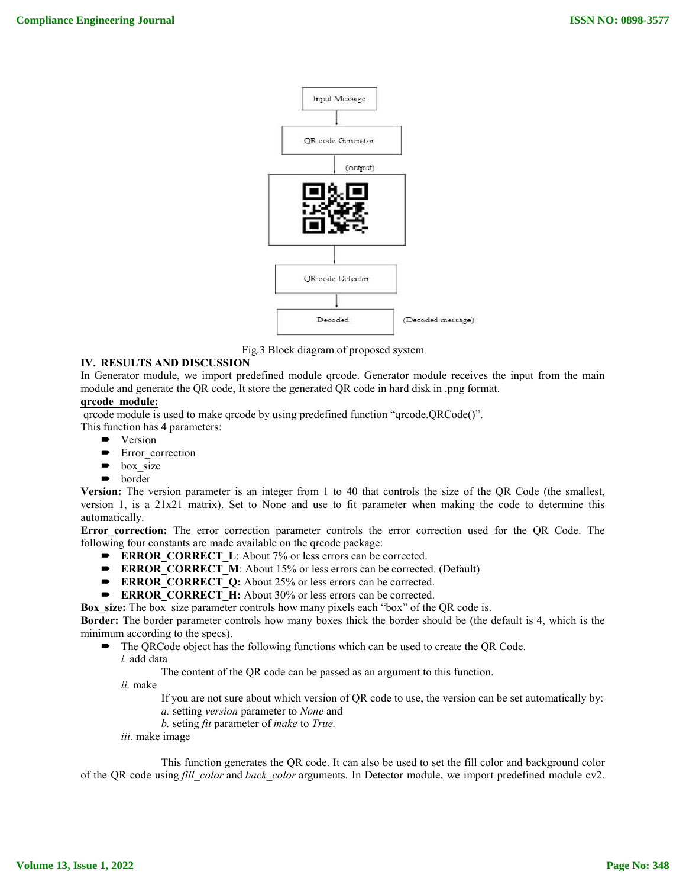

Fig.3 Block diagram of proposed system

### **IV. RESULTS AND DISCUSSION**

In Generator module, we import predefined module qrcode. Generator module receives the input from the main module and generate the QR code, It store the generated QR code in hard disk in .png format.

## **qrcode module:**

qrcode module is used to make qrcode by using predefined function "qrcode.QRCode()".

- This function has 4 parameters:
	- Version
	- **Error** correction
	- box\_size
	- border

**Version:** The version parameter is an integer from 1 to 40 that controls the size of the QR Code (the smallest, version 1, is a 21x21 matrix). Set to None and use to fit parameter when making the code to determine this automatically.

Error correction: The error correction parameter controls the error correction used for the QR Code. The following four constants are made available on the qrcode package:

- **ERROR\_CORRECT\_L:** About 7% or less errors can be corrected.
- **ERROR\_CORRECT\_M**: About 15% or less errors can be corrected. (Default)
- **ERROR CORRECT Q:** About 25% or less errors can be corrected.
- **ERROR\_CORRECT\_H:** About 30% or less errors can be corrected.

**Box** size: The box size parameter controls how many pixels each "box" of the QR code is.

**Border:** The border parameter controls how many boxes thick the border should be (the default is 4, which is the minimum according to the specs).

- The QRCode object has the following functions which can be used to create the QR Code. *i.* add data
	-

The content of the QR code can be passed as an argument to this function.

*ii.* make

- If you are not sure about which version of QR code to use, the version can be set automatically by:
- *a.* setting *version* parameter to *None* and
- *b.* seting *fit* parameter of *make* to *True.*
- *iii.* make image

This function generates the QR code. It can also be used to set the fill color and background color of the QR code using *fill\_color* and *back\_color* arguments. In Detector module, we import predefined module cv2.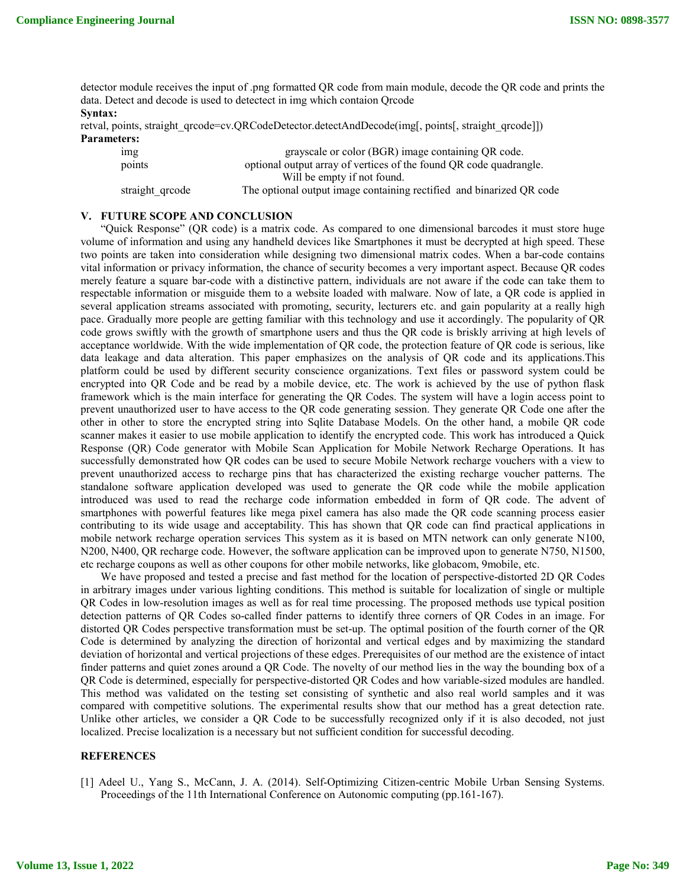detector module receives the input of .png formatted QR code from main module, decode the QR code and prints the data. Detect and decode is used to detectect in img which contaion Qrcode **Syntax:**

retval, points, straight\_qrcode=cv.QRCodeDetector.detectAndDecode(img[, points[, straight\_qrcode]]) **Parameters:**

img grayscale or color (BGR) image containing QR code. points optional output array of vertices of the found QR code quadrangle. Will be empty if not found. straight\_qrcode The optional output image containing rectified and binarized QR code

# **V. FUTURE SCOPE AND CONCLUSION**

"Quick Response" (QR code) is a matrix code. As compared to one dimensional barcodes it must store huge volume of information and using any handheld devices like Smartphones it must be decrypted at high speed. These two points are taken into consideration while designing two dimensional matrix codes. When a bar-code contains vital information or privacy information, the chance of security becomes a very important aspect. Because QR codes merely feature a square bar-code with a distinctive pattern, individuals are not aware if the code can take them to respectable information or misguide them to a website loaded with malware. Now of late, a QR code is applied in several application streams associated with promoting, security, lecturers etc. and gain popularity at a really high pace. Gradually more people are getting familiar with this technology and use it accordingly. The popularity of QR code grows swiftly with the growth of smartphone users and thus the QR code is briskly arriving at high levels of acceptance worldwide. With the wide implementation of QR code, the protection feature of QR code is serious, like data leakage and data alteration. This paper emphasizes on the analysis of QR code and its applications.This platform could be used by different security conscience organizations. Text files or password system could be encrypted into QR Code and be read by a mobile device, etc. The work is achieved by the use of python flask framework which is the main interface for generating the QR Codes. The system will have a login access point to prevent unauthorized user to have access to the QR code generating session. They generate QR Code one after the other in other to store the encrypted string into Sqlite Database Models. On the other hand, a mobile QR code scanner makes it easier to use mobile application to identify the encrypted code. This work has introduced a Quick Response (QR) Code generator with Mobile Scan Application for Mobile Network Recharge Operations. It has successfully demonstrated how QR codes can be used to secure Mobile Network recharge vouchers with a view to prevent unauthorized access to recharge pins that has characterized the existing recharge voucher patterns. The standalone software application developed was used to generate the QR code while the mobile application introduced was used to read the recharge code information embedded in form of QR code. The advent of smartphones with powerful features like mega pixel camera has also made the QR code scanning process easier contributing to its wide usage and acceptability. This has shown that QR code can find practical applications in mobile network recharge operation services This system as it is based on MTN network can only generate N100, N200, N400, QR recharge code. However, the software application can be improved upon to generate N750, N1500, etc recharge coupons as well as other coupons for other mobile networks, like globacom, 9mobile, etc.

We have proposed and tested a precise and fast method for the location of perspective-distorted 2D QR Codes in arbitrary images under various lighting conditions. This method is suitable for localization of single or multiple QR Codes in low-resolution images as well as for real time processing. The proposed methods use typical position detection patterns of QR Codes so-called finder patterns to identify three corners of QR Codes in an image. For distorted QR Codes perspective transformation must be set-up. The optimal position of the fourth corner of the QR Code is determined by analyzing the direction of horizontal and vertical edges and by maximizing the standard deviation of horizontal and vertical projections of these edges. Prerequisites of our method are the existence of intact finder patterns and quiet zones around a QR Code. The novelty of our method lies in the way the bounding box of a QR Code is determined, especially for perspective-distorted QR Codes and how variable-sized modules are handled. This method was validated on the testing set consisting of synthetic and also real world samples and it was compared with competitive solutions. The experimental results show that our method has a great detection rate. Unlike other articles, we consider a QR Code to be successfully recognized only if it is also decoded, not just localized. Precise localization is a necessary but not sufficient condition for successful decoding.

#### **REFERENCES**

[1] Adeel U., Yang S., McCann, J. A. (2014). Self-Optimizing Citizen-centric Mobile Urban Sensing Systems. Proceedings of the 11th International Conference on Autonomic computing (pp.161-167).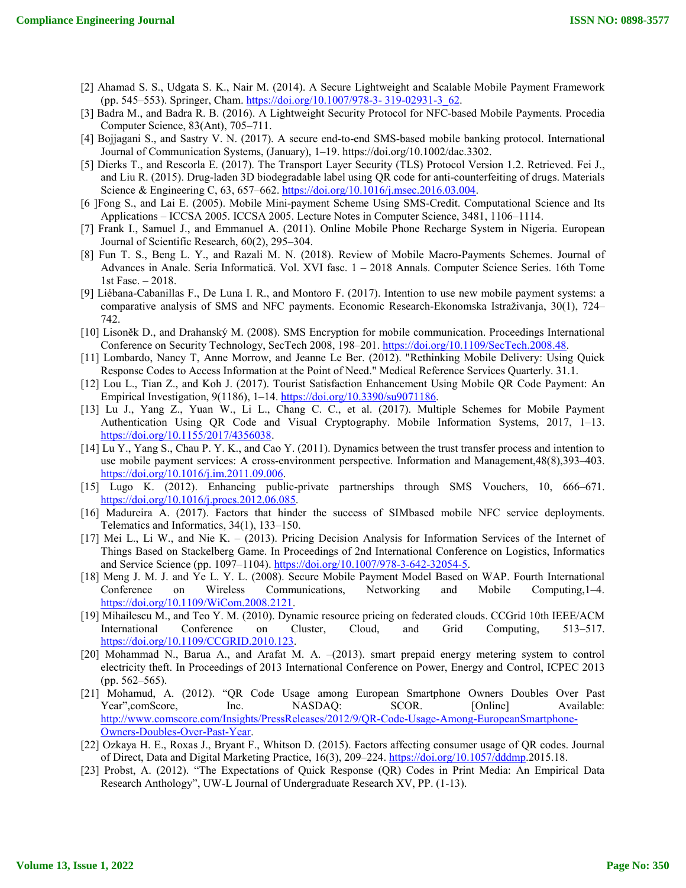- [2] Ahamad S. S., Udgata S. K., Nair M. (2014). A Secure Lightweight and Scalable Mobile Payment Framework (pp. 545–553). Springer, Cham. https://doi.org/10.1007/978-3- 319-02931-3\_62.
- [3] Badra M., and Badra R. B. (2016). A Lightweight Security Protocol for NFC-based Mobile Payments. Procedia Computer Science, 83(Ant), 705–711.
- [4] Bojjagani S., and Sastry V. N. (2017). A secure end-to-end SMS-based mobile banking protocol. International Journal of Communication Systems, (January), 1–19. https://doi.org/10.1002/dac.3302.
- [5] Dierks T., and Rescorla E. (2017). The Transport Layer Security (TLS) Protocol Version 1.2. Retrieved. Fei J., and Liu R. (2015). Drug-laden 3D biodegradable label using QR code for anti-counterfeiting of drugs. Materials Science & Engineering C, 63, 657–662. https://doi.org/10.1016/j.msec.2016.03.004.
- [6 ]Fong S., and Lai E. (2005). Mobile Mini-payment Scheme Using SMS-Credit. Computational Science and Its Applications – ICCSA 2005. ICCSA 2005. Lecture Notes in Computer Science, 3481, 1106–1114.
- [7] Frank I., Samuel J., and Emmanuel A. (2011). Online Mobile Phone Recharge System in Nigeria. European Journal of Scientific Research, 60(2), 295–304.
- [8] Fun T. S., Beng L. Y., and Razali M. N. (2018). Review of Mobile Macro-Payments Schemes. Journal of Advances in Anale. Seria Informatică. Vol. XVI fasc. 1 – 2018 Annals. Computer Science Series. 16th Tome 1st Fasc. – 2018.
- [9] Liébana-Cabanillas F., De Luna I. R., and Montoro F. (2017). Intention to use new mobile payment systems: a comparative analysis of SMS and NFC payments. Economic Research-Ekonomska Istraživanja, 30(1), 724– 742.
- [10] Lisoněk D., and Drahanský M. (2008). SMS Encryption for mobile communication. Proceedings International Conference on Security Technology, SecTech 2008, 198–201. https://doi.org/10.1109/SecTech.2008.48.
- [11] Lombardo, Nancy T, Anne Morrow, and Jeanne Le Ber. (2012). "Rethinking Mobile Delivery: Using Quick Response Codes to Access Information at the Point of Need." Medical Reference Services Quarterly. 31.1.
- [12] Lou L., Tian Z., and Koh J. (2017). Tourist Satisfaction Enhancement Using Mobile QR Code Payment: An Empirical Investigation, 9(1186), 1–14. https://doi.org/10.3390/su9071186.
- [13] Lu J., Yang Z., Yuan W., Li L., Chang C. C., et al. (2017). Multiple Schemes for Mobile Payment Authentication Using QR Code and Visual Cryptography. Mobile Information Systems, 2017, 1–13. https://doi.org/10.1155/2017/4356038.
- [14] Lu Y., Yang S., Chau P. Y. K., and Cao Y. (2011). Dynamics between the trust transfer process and intention to use mobile payment services: A cross-environment perspective. Information and Management,48(8),393–403. https://doi.org/10.1016/j.im.2011.09.006.
- [15] Lugo K. (2012). Enhancing public-private partnerships through SMS Vouchers, 10, 666–671. https://doi.org/10.1016/j.procs.2012.06.085.
- [16] Madureira A. (2017). Factors that hinder the success of SIMbased mobile NFC service deployments. Telematics and Informatics, 34(1), 133–150.
- [17] Mei L., Li W., and Nie K. (2013). Pricing Decision Analysis for Information Services of the Internet of Things Based on Stackelberg Game. In Proceedings of 2nd International Conference on Logistics, Informatics and Service Science (pp. 1097–1104). https://doi.org/10.1007/978-3-642-32054-5.
- [18] Meng J. M. J. and Ye L. Y. L. (2008). Secure Mobile Payment Model Based on WAP. Fourth International Conference on Wireless Communications, Networking and Mobile Computing,1–4. https://doi.org/10.1109/WiCom.2008.2121.
- [19] Mihailescu M., and Teo Y. M. (2010). Dynamic resource pricing on federated clouds. CCGrid 10th IEEE/ACM International Conference on Cluster, Cloud, and Grid Computing, 513–517. https://doi.org/10.1109/CCGRID.2010.123.
- [20] Mohammad N., Barua A., and Arafat M. A. –(2013). smart prepaid energy metering system to control electricity theft. In Proceedings of 2013 International Conference on Power, Energy and Control, ICPEC 2013 (pp. 562–565).
- [21] Mohamud, A. (2012). "QR Code Usage among European Smartphone Owners Doubles Over Past Year",comScore, Inc. NASDAQ: SCOR. [Online] Available: http://www.comscore.com/Insights/PressReleases/2012/9/QR-Code-Usage-Among-EuropeanSmartphone-Owners-Doubles-Over-Past-Year.
- [22] Ozkaya H. E., Roxas J., Bryant F., Whitson D. (2015). Factors affecting consumer usage of QR codes. Journal of Direct, Data and Digital Marketing Practice, 16(3), 209–224. https://doi.org/10.1057/dddmp.2015.18.
- [23] Probst, A. (2012). "The Expectations of Quick Response (QR) Codes in Print Media: An Empirical Data Research Anthology", UW-L Journal of Undergraduate Research XV, PP. (1-13).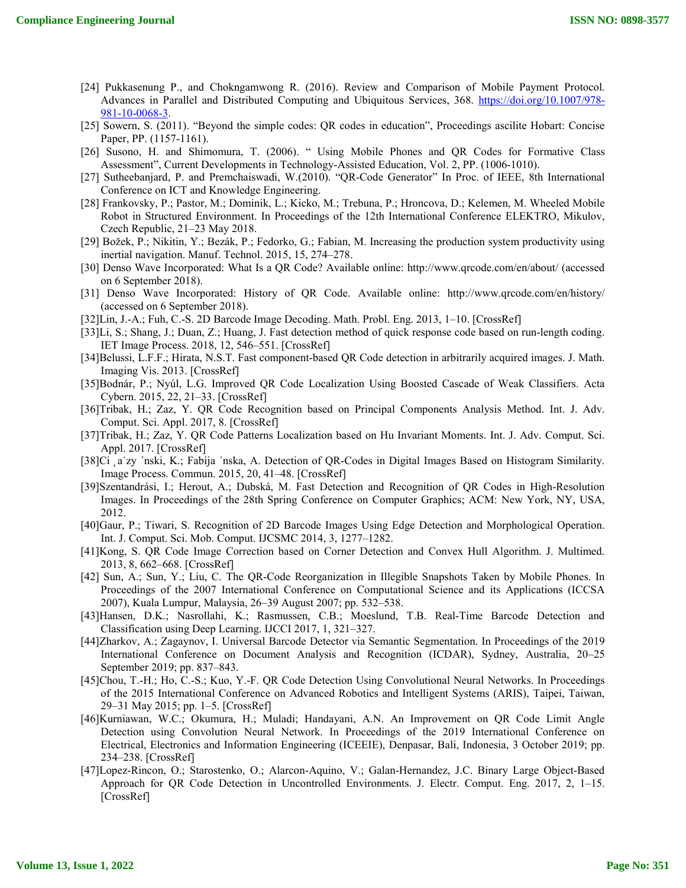- [24] Pukkasenung P., and Chokngamwong R. (2016). Review and Comparison of Mobile Payment Protocol. Advances in Parallel and Distributed Computing and Ubiquitous Services, 368. https://doi.org/10.1007/978- 981-10-0068-3.
- [25] Sowern, S. (2011). "Beyond the simple codes: QR codes in education", Proceedings ascilite Hobart: Concise Paper, PP. (1157-1161).
- [26] Susono, H. and Shimomura, T. (2006). " Using Mobile Phones and QR Codes for Formative Class Assessment", Current Developments in Technology-Assisted Education, Vol. 2, PP. (1006-1010).
- [27] Sutheebanjard, P. and Premchaiswadi, W.(2010). "QR-Code Generator" In Proc. of IEEE, 8th International Conference on ICT and Knowledge Engineering.
- [28] Frankovsky, P.; Pastor, M.; Dominik, L.; Kicko, M.; Trebuna, P.; Hroncova, D.; Kelemen, M. Wheeled Mobile Robot in Structured Environment. In Proceedings of the 12th International Conference ELEKTRO, Mikulov, Czech Republic, 21–23 May 2018.
- [29] Božek, P.; Nikitin, Y.; Bezák, P.; Fedorko, G.; Fabian, M. Increasing the production system productivity using inertial navigation. Manuf. Technol. 2015, 15, 274–278.
- [30] Denso Wave Incorporated: What Is a QR Code? Available online: http://www.qrcode.com/en/about/ (accessed on 6 September 2018).
- [31] Denso Wave Incorporated: History of QR Code. Available online: http://www.qrcode.com/en/history/ (accessed on 6 September 2018).
- [32]Lin, J.-A.; Fuh, C.-S. 2D Barcode Image Decoding. Math. Probl. Eng. 2013, 1–10. [CrossRef]
- [33]Li, S.; Shang, J.; Duan, Z.; Huang, J. Fast detection method of quick response code based on run-length coding. IET Image Process. 2018, 12, 546–551. [CrossRef]
- [34]Belussi, L.F.F.; Hirata, N.S.T. Fast component-based QR Code detection in arbitrarily acquired images. J. Math. Imaging Vis. 2013. [CrossRef]
- [35]Bodnár, P.; Nyúl, L.G. Improved QR Code Localization Using Boosted Cascade of Weak Classifiers. Acta Cybern. 2015, 22, 21–33. [CrossRef]
- [36]Tribak, H.; Zaz, Y. QR Code Recognition based on Principal Components Analysis Method. Int. J. Adv. Comput. Sci. Appl. 2017, 8. [CrossRef]
- [37]Tribak, H.; Zaz, Y. QR Code Patterns Localization based on Hu Invariant Moments. Int. J. Adv. Comput. Sci. Appl. 2017. [CrossRef]
- [38]Ci a zy 'nski, K.; Fabija 'nska, A. Detection of QR-Codes in Digital Images Based on Histogram Similarity. Image Process. Commun. 2015, 20, 41–48. [CrossRef]
- [39]Szentandrási, I.; Herout, A.; Dubská, M. Fast Detection and Recognition of QR Codes in High-Resolution Images. In Proceedings of the 28th Spring Conference on Computer Graphics; ACM: New York, NY, USA, 2012.
- [40]Gaur, P.; Tiwari, S. Recognition of 2D Barcode Images Using Edge Detection and Morphological Operation. Int. J. Comput. Sci. Mob. Comput. IJCSMC 2014, 3, 1277–1282.
- [41]Kong, S. QR Code Image Correction based on Corner Detection and Convex Hull Algorithm. J. Multimed. 2013, 8, 662–668. [CrossRef]
- [42] Sun, A.; Sun, Y.; Liu, C. The QR-Code Reorganization in Illegible Snapshots Taken by Mobile Phones. In Proceedings of the 2007 International Conference on Computational Science and its Applications (ICCSA 2007), Kuala Lumpur, Malaysia, 26–39 August 2007; pp. 532–538.
- [43]Hansen, D.K.; Nasrollahi, K.; Rasmussen, C.B.; Moeslund, T.B. Real-Time Barcode Detection and Classification using Deep Learning. IJCCI 2017, 1, 321–327.
- [44]Zharkov, A.; Zagaynov, I. Universal Barcode Detector via Semantic Segmentation. In Proceedings of the 2019 International Conference on Document Analysis and Recognition (ICDAR), Sydney, Australia, 20–25 September 2019; pp. 837–843.
- [45]Chou, T.-H.; Ho, C.-S.; Kuo, Y.-F. QR Code Detection Using Convolutional Neural Networks. In Proceedings of the 2015 International Conference on Advanced Robotics and Intelligent Systems (ARIS), Taipei, Taiwan, 29–31 May 2015; pp. 1–5. [CrossRef]
- [46]Kurniawan, W.C.; Okumura, H.; Muladi; Handayani, A.N. An Improvement on QR Code Limit Angle Detection using Convolution Neural Network. In Proceedings of the 2019 International Conference on Electrical, Electronics and Information Engineering (ICEEIE), Denpasar, Bali, Indonesia, 3 October 2019; pp. 234–238. [CrossRef]
- [47]Lopez-Rincon, O.; Starostenko, O.; Alarcon-Aquino, V.; Galan-Hernandez, J.C. Binary Large Object-Based Approach for QR Code Detection in Uncontrolled Environments. J. Electr. Comput. Eng. 2017, 2, 1–15. [CrossRef]